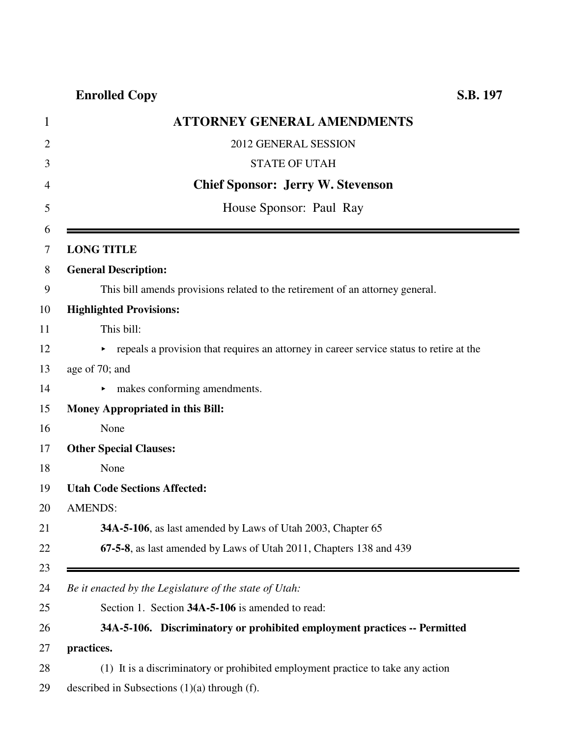| 1              | <b>ATTORNEY GENERAL AMENDMENTS</b>                                                      |
|----------------|-----------------------------------------------------------------------------------------|
| $\overline{2}$ | 2012 GENERAL SESSION                                                                    |
| 3              | <b>STATE OF UTAH</b>                                                                    |
| 4              | <b>Chief Sponsor: Jerry W. Stevenson</b>                                                |
| 5              | House Sponsor: Paul Ray                                                                 |
| 6<br>7         | <b>LONG TITLE</b>                                                                       |
| 8              | <b>General Description:</b>                                                             |
| 9              | This bill amends provisions related to the retirement of an attorney general.           |
| 10             | <b>Highlighted Provisions:</b>                                                          |
| 11             | This bill:                                                                              |
| 12             | repeals a provision that requires an attorney in career service status to retire at the |
| 13             | age of 70; and                                                                          |
| 14             | makes conforming amendments.<br>▶.                                                      |
| 15             | <b>Money Appropriated in this Bill:</b>                                                 |
| 16             | None                                                                                    |
| 17             | <b>Other Special Clauses:</b>                                                           |
| 18             | None                                                                                    |
| 19             | <b>Utah Code Sections Affected:</b>                                                     |
| 20             | <b>AMENDS:</b>                                                                          |
| 21             | 34A-5-106, as last amended by Laws of Utah 2003, Chapter 65                             |
| 22             | 67-5-8, as last amended by Laws of Utah 2011, Chapters 138 and 439                      |
| 23<br>24       | Be it enacted by the Legislature of the state of Utah:                                  |
| 25             | Section 1. Section 34A-5-106 is amended to read:                                        |
| 26             | 34A-5-106. Discriminatory or prohibited employment practices -- Permitted               |
| 27             | practices.                                                                              |
| 28             | (1) It is a discriminatory or prohibited employment practice to take any action         |
| 29             | described in Subsections $(1)(a)$ through $(f)$ .                                       |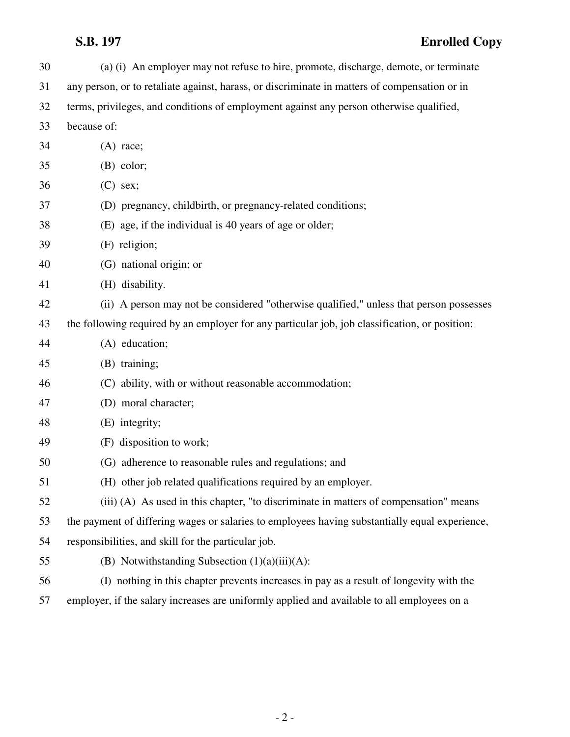| 30 | (a) (i) An employer may not refuse to hire, promote, discharge, demote, or terminate           |
|----|------------------------------------------------------------------------------------------------|
| 31 | any person, or to retaliate against, harass, or discriminate in matters of compensation or in  |
| 32 | terms, privileges, and conditions of employment against any person otherwise qualified,        |
| 33 | because of:                                                                                    |
| 34 | $(A)$ race;                                                                                    |
| 35 | $(B)$ color;                                                                                   |
| 36 | $(C)$ sex;                                                                                     |
| 37 | (D) pregnancy, childbirth, or pregnancy-related conditions;                                    |
| 38 | (E) age, if the individual is 40 years of age or older;                                        |
| 39 | (F) religion;                                                                                  |
| 40 | (G) national origin; or                                                                        |
| 41 | (H) disability.                                                                                |
| 42 | (ii) A person may not be considered "otherwise qualified," unless that person possesses        |
| 43 | the following required by an employer for any particular job, job classification, or position: |
| 44 | (A) education;                                                                                 |
| 45 | (B) training;                                                                                  |
| 46 | (C) ability, with or without reasonable accommodation;                                         |
| 47 | (D) moral character;                                                                           |
| 48 | (E) integrity;                                                                                 |
| 49 | (F) disposition to work;                                                                       |
| 50 | (G) adherence to reasonable rules and regulations; and                                         |
| 51 | (H) other job related qualifications required by an employer.                                  |
| 52 | (iii) (A) As used in this chapter, "to discriminate in matters of compensation" means          |
| 53 | the payment of differing wages or salaries to employees having substantially equal experience, |
| 54 | responsibilities, and skill for the particular job.                                            |
| 55 | (B) Notwithstanding Subsection $(1)(a)(iii)(A)$ :                                              |
| 56 | (I) nothing in this chapter prevents increases in pay as a result of longevity with the        |
| 57 | relation if the colony increases are uniformly equipped and evolutely to all employees an      |

57 employer, if the salary increases are uniformly applied and available to all employees on a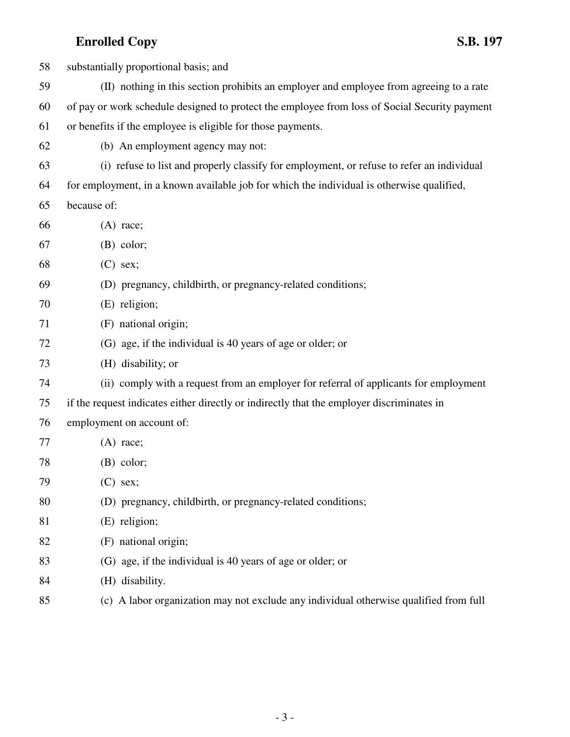| 58 | substantially proportional basis; and                                                         |
|----|-----------------------------------------------------------------------------------------------|
| 59 | (II) nothing in this section prohibits an employer and employee from agreeing to a rate       |
| 60 | of pay or work schedule designed to protect the employee from loss of Social Security payment |
| 61 | or benefits if the employee is eligible for those payments.                                   |
| 62 | (b) An employment agency may not:                                                             |
| 63 | (i) refuse to list and properly classify for employment, or refuse to refer an individual     |
| 64 | for employment, in a known available job for which the individual is otherwise qualified,     |
| 65 | because of:                                                                                   |
| 66 | $(A)$ race;                                                                                   |
| 67 | $(B)$ color;                                                                                  |
| 68 | $(C)$ sex;                                                                                    |
| 69 | (D) pregnancy, childbirth, or pregnancy-related conditions;                                   |
| 70 | (E) religion;                                                                                 |
| 71 | (F) national origin;                                                                          |
| 72 | (G) age, if the individual is 40 years of age or older; or                                    |
| 73 | (H) disability; or                                                                            |
| 74 | (ii) comply with a request from an employer for referral of applicants for employment         |
| 75 | if the request indicates either directly or indirectly that the employer discriminates in     |
| 76 | employment on account of:                                                                     |
| 77 | $(A)$ race;                                                                                   |
| 78 | $(B)$ color;                                                                                  |
| 79 | $(C)$ sex;                                                                                    |
| 80 | (D) pregnancy, childbirth, or pregnancy-related conditions;                                   |
| 81 | (E) religion;                                                                                 |
| 82 | (F) national origin;                                                                          |
| 83 | (G) age, if the individual is 40 years of age or older; or                                    |
| 84 | (H) disability.                                                                               |
|    |                                                                                               |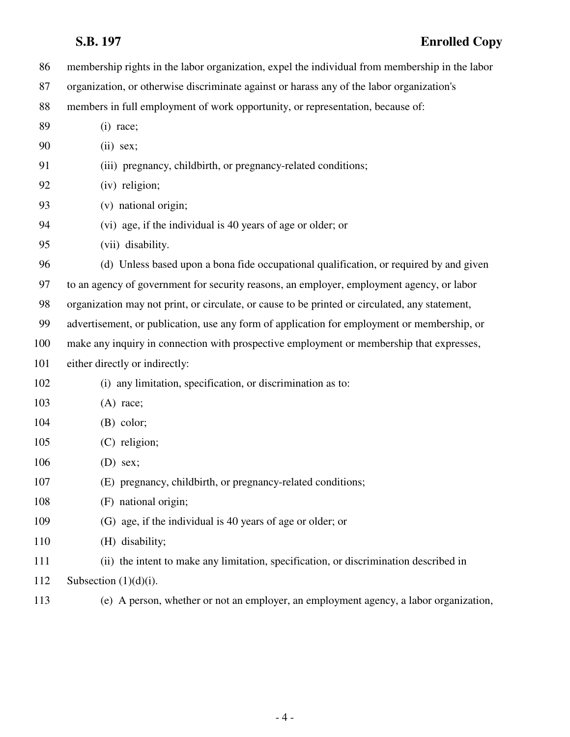86 membership rights in the labor organization, expel the individual from membership in the labor 87 organization, or otherwise discriminate against or harass any of the labor organization's 88 members in full employment of work opportunity, or representation, because of: 89 (i) race; 90 (ii) sex; 91 (iii) pregnancy, childbirth, or pregnancy-related conditions; 92 (iv) religion; 93 (v) national origin; 94 (vi) age, if the individual is 40 years of age or older; or 95 (vii) disability. 96 (d) Unless based upon a bona fide occupational qualification, or required by and given 97 to an agency of government for security reasons, an employer, employment agency, or labor 98 organization may not print, or circulate, or cause to be printed or circulated, any statement, 99 advertisement, or publication, use any form of application for employment or membership, or 100 make any inquiry in connection with prospective employment or membership that expresses, 101 either directly or indirectly: 102 (i) any limitation, specification, or discrimination as to: 103 (A) race; 104 (B) color; 105 (C) religion; 106 (D) sex; 107 (E) pregnancy, childbirth, or pregnancy-related conditions; 108 (F) national origin; 109 (G) age, if the individual is 40 years of age or older; or 110 (H) disability; 111 (ii) the intent to make any limitation, specification, or discrimination described in 112 Subsection  $(1)(d)(i)$ . 113 (e) A person, whether or not an employer, an employment agency, a labor organization,

- 4 -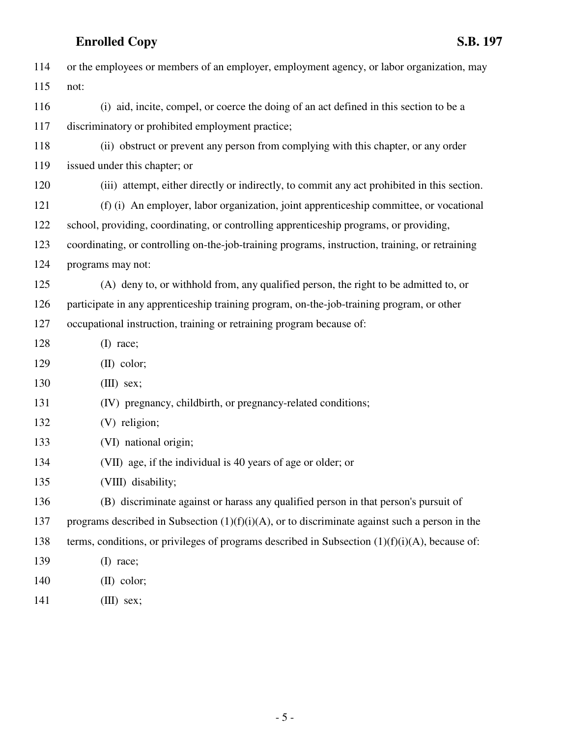| 114 | or the employees or members of an employer, employment agency, or labor organization, may         |
|-----|---------------------------------------------------------------------------------------------------|
| 115 | not:                                                                                              |
| 116 | (i) aid, incite, compel, or coerce the doing of an act defined in this section to be a            |
| 117 | discriminatory or prohibited employment practice;                                                 |
| 118 | (ii) obstruct or prevent any person from complying with this chapter, or any order                |
| 119 | issued under this chapter; or                                                                     |
| 120 | (iii) attempt, either directly or indirectly, to commit any act prohibited in this section.       |
| 121 | (f) (i) An employer, labor organization, joint apprenticeship committee, or vocational            |
| 122 | school, providing, coordinating, or controlling apprenticeship programs, or providing,            |
| 123 | coordinating, or controlling on-the-job-training programs, instruction, training, or retraining   |
| 124 | programs may not:                                                                                 |
| 125 | (A) deny to, or withhold from, any qualified person, the right to be admitted to, or              |
| 126 | participate in any apprenticeship training program, on-the-job-training program, or other         |
| 127 | occupational instruction, training or retraining program because of:                              |
| 128 | $(I)$ race;                                                                                       |
| 129 | $(II)$ color;                                                                                     |
| 130 | $(III)$ sex;                                                                                      |
| 131 | (IV) pregnancy, childbirth, or pregnancy-related conditions;                                      |
| 132 | (V) religion;                                                                                     |
| 133 | (VI) national origin;                                                                             |
| 134 | (VII) age, if the individual is 40 years of age or older; or                                      |
| 135 | (VIII) disability;                                                                                |
| 136 | (B) discriminate against or harass any qualified person in that person's pursuit of               |
| 137 | programs described in Subsection $(1)(f)(i)(A)$ , or to discriminate against such a person in the |
| 138 | terms, conditions, or privileges of programs described in Subsection $(1)(f)(i)(A)$ , because of: |
| 139 | $(I)$ race;                                                                                       |
| 140 | $(II)$ color;                                                                                     |
| 141 | $(III)$ sex;                                                                                      |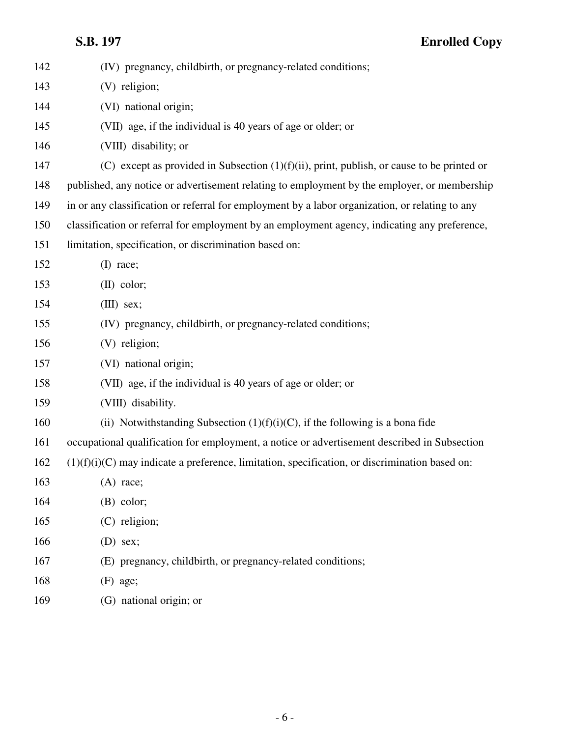| 142 | (IV) pregnancy, childbirth, or pregnancy-related conditions;                                     |
|-----|--------------------------------------------------------------------------------------------------|
| 143 | (V) religion;                                                                                    |
| 144 | (VI) national origin;                                                                            |
| 145 | (VII) age, if the individual is 40 years of age or older; or                                     |
| 146 | (VIII) disability; or                                                                            |
| 147 | (C) except as provided in Subsection $(1)(f)(ii)$ , print, publish, or cause to be printed or    |
| 148 | published, any notice or advertisement relating to employment by the employer, or membership     |
| 149 | in or any classification or referral for employment by a labor organization, or relating to any  |
| 150 | classification or referral for employment by an employment agency, indicating any preference,    |
| 151 | limitation, specification, or discrimination based on:                                           |
| 152 | $(I)$ race;                                                                                      |
| 153 | $(II)$ color;                                                                                    |
| 154 | $(III)$ sex;                                                                                     |
| 155 | (IV) pregnancy, childbirth, or pregnancy-related conditions;                                     |
| 156 | (V) religion;                                                                                    |
| 157 | (VI) national origin;                                                                            |
| 158 | (VII) age, if the individual is 40 years of age or older; or                                     |
| 159 | (VIII) disability.                                                                               |
| 160 | (ii) Notwithstanding Subsection $(1)(f)(i)(C)$ , if the following is a bona fide                 |
| 161 | occupational qualification for employment, a notice or advertisement described in Subsection     |
| 162 | $(1)(f)(i)(C)$ may indicate a preference, limitation, specification, or discrimination based on: |
| 163 | $(A)$ race;                                                                                      |
| 164 | $(B)$ color;                                                                                     |
| 165 | (C) religion;                                                                                    |
| 166 | $(D)$ sex;                                                                                       |
| 167 | (E) pregnancy, childbirth, or pregnancy-related conditions;                                      |
| 168 | $(F)$ age;                                                                                       |
| 169 | (G) national origin; or                                                                          |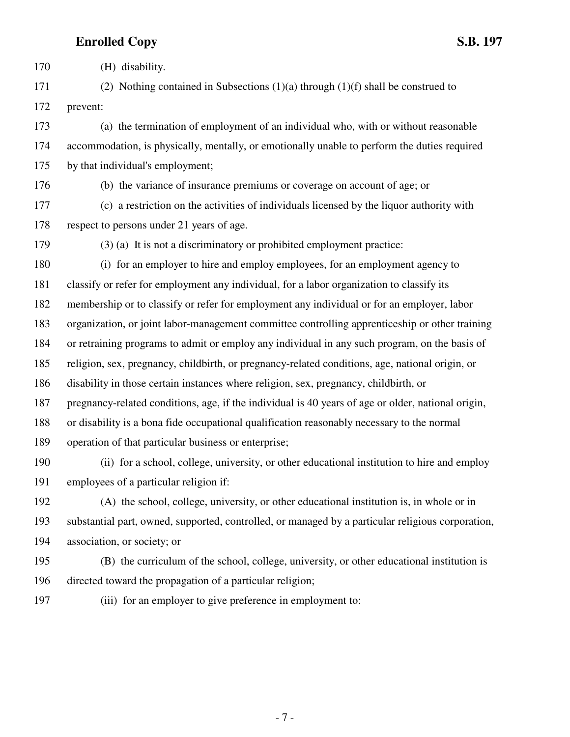170 (H) disability.

171 (2) Nothing contained in Subsections  $(1)(a)$  through  $(1)(f)$  shall be construed to 172 prevent:

173 (a) the termination of employment of an individual who, with or without reasonable 174 accommodation, is physically, mentally, or emotionally unable to perform the duties required 175 by that individual's employment;

176 (b) the variance of insurance premiums or coverage on account of age; or

177 (c) a restriction on the activities of individuals licensed by the liquor authority with 178 respect to persons under 21 years of age.

179 (3) (a) It is not a discriminatory or prohibited employment practice:

180 (i) for an employer to hire and employ employees, for an employment agency to 181 classify or refer for employment any individual, for a labor organization to classify its 182 membership or to classify or refer for employment any individual or for an employer, labor 183 organization, or joint labor-management committee controlling apprenticeship or other training 184 or retraining programs to admit or employ any individual in any such program, on the basis of 185 religion, sex, pregnancy, childbirth, or pregnancy-related conditions, age, national origin, or 186 disability in those certain instances where religion, sex, pregnancy, childbirth, or 187 pregnancy-related conditions, age, if the individual is 40 years of age or older, national origin, 188 or disability is a bona fide occupational qualification reasonably necessary to the normal 189 operation of that particular business or enterprise; 190 (ii) for a school, college, university, or other educational institution to hire and employ

191 employees of a particular religion if:

192 (A) the school, college, university, or other educational institution is, in whole or in 193 substantial part, owned, supported, controlled, or managed by a particular religious corporation, 194 association, or society; or

195 (B) the curriculum of the school, college, university, or other educational institution is 196 directed toward the propagation of a particular religion;

197 (iii) for an employer to give preference in employment to: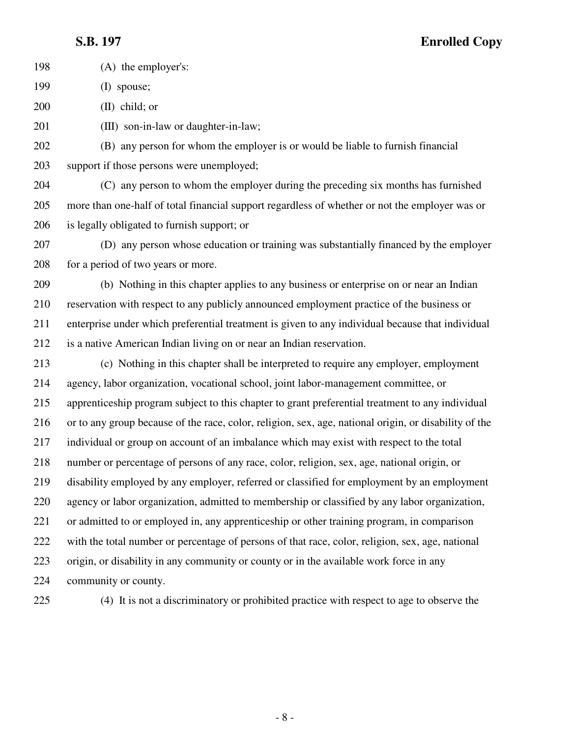**S.B. 197 Enrolled Copy**

198 (A) the employer's: 199 (I) spouse; 200 (II) child; or 201 (III) son-in-law or daughter-in-law; 202 (B) any person for whom the employer is or would be liable to furnish financial 203 support if those persons were unemployed; 204 (C) any person to whom the employer during the preceding six months has furnished 205 more than one-half of total financial support regardless of whether or not the employer was or 206 is legally obligated to furnish support; or 207 (D) any person whose education or training was substantially financed by the employer 208 for a period of two years or more. 209 (b) Nothing in this chapter applies to any business or enterprise on or near an Indian 210 reservation with respect to any publicly announced employment practice of the business or 211 enterprise under which preferential treatment is given to any individual because that individual 212 is a native American Indian living on or near an Indian reservation. 213 (c) Nothing in this chapter shall be interpreted to require any employer, employment 214 agency, labor organization, vocational school, joint labor-management committee, or 215 apprenticeship program subject to this chapter to grant preferential treatment to any individual 216 or to any group because of the race, color, religion, sex, age, national origin, or disability of the 217 individual or group on account of an imbalance which may exist with respect to the total 218 number or percentage of persons of any race, color, religion, sex, age, national origin, or 219 disability employed by any employer, referred or classified for employment by an employment 220 agency or labor organization, admitted to membership or classified by any labor organization, 221 or admitted to or employed in, any apprenticeship or other training program, in comparison

222 with the total number or percentage of persons of that race, color, religion, sex, age, national 223 origin, or disability in any community or county or in the available work force in any

224 community or county.

225 (4) It is not a discriminatory or prohibited practice with respect to age to observe the

- 8 -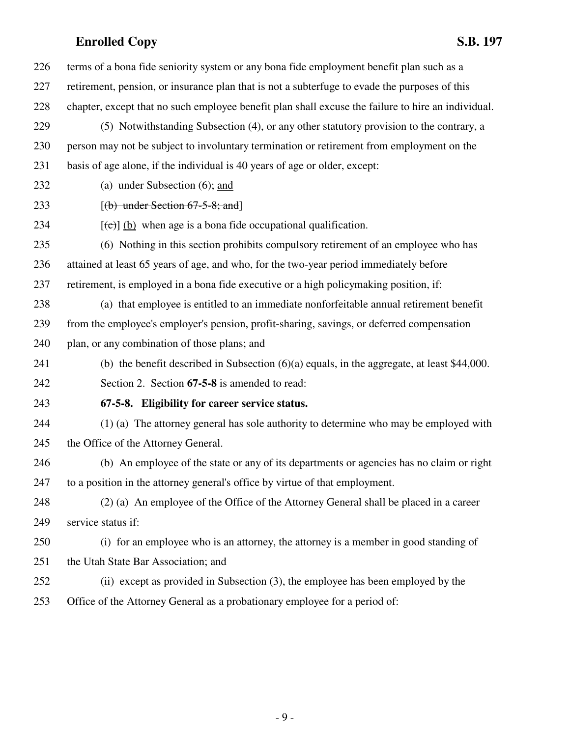| 226 | terms of a bona fide seniority system or any bona fide employment benefit plan such as a           |
|-----|----------------------------------------------------------------------------------------------------|
| 227 | retirement, pension, or insurance plan that is not a subterfuge to evade the purposes of this      |
| 228 | chapter, except that no such employee benefit plan shall excuse the failure to hire an individual. |
| 229 | (5) Notwithstanding Subsection (4), or any other statutory provision to the contrary, a            |
| 230 | person may not be subject to involuntary termination or retirement from employment on the          |
| 231 | basis of age alone, if the individual is 40 years of age or older, except:                         |
| 232 | (a) under Subsection $(6)$ ; and                                                                   |
| 233 | $[(b)$ under Section 67-5-8; and                                                                   |
| 234 | $[\text{e}(\text{e})]$ (b) when age is a bona fide occupational qualification.                     |
| 235 | (6) Nothing in this section prohibits compulsory retirement of an employee who has                 |
| 236 | attained at least 65 years of age, and who, for the two-year period immediately before             |
| 237 | retirement, is employed in a bona fide executive or a high policymaking position, if:              |
| 238 | (a) that employee is entitled to an immediate nonforfeitable annual retirement benefit             |
| 239 | from the employee's employer's pension, profit-sharing, savings, or deferred compensation          |
| 240 | plan, or any combination of those plans; and                                                       |
| 241 | (b) the benefit described in Subsection $(6)(a)$ equals, in the aggregate, at least \$44,000.      |
| 242 | Section 2. Section 67-5-8 is amended to read:                                                      |
| 243 | 67-5-8. Eligibility for career service status.                                                     |
| 244 | (1) (a) The attorney general has sole authority to determine who may be employed with              |
| 245 | the Office of the Attorney General.                                                                |
| 246 | (b) An employee of the state or any of its departments or agencies has no claim or right           |
| 247 | to a position in the attorney general's office by virtue of that employment.                       |
| 248 | (2) (a) An employee of the Office of the Attorney General shall be placed in a career              |
| 249 | service status if:                                                                                 |
| 250 | (i) for an employee who is an attorney, the attorney is a member in good standing of               |
| 251 | the Utah State Bar Association; and                                                                |
| 252 | (ii) except as provided in Subsection (3), the employee has been employed by the                   |
| 253 | Office of the Attorney General as a probationary employee for a period of:                         |